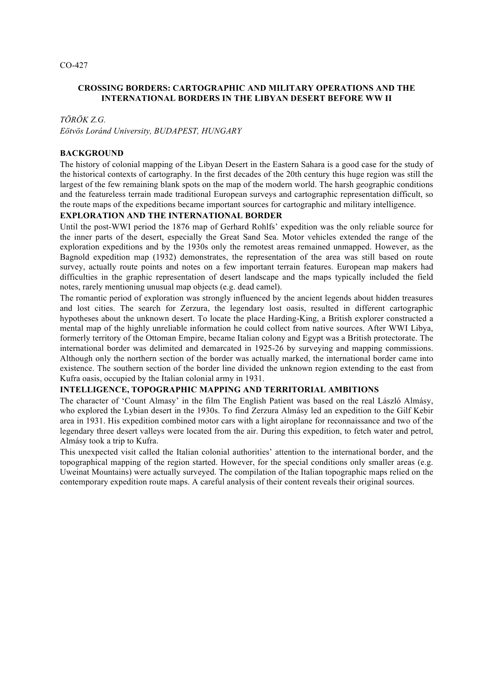# **CROSSING BORDERS: CARTOGRAPHIC AND MILITARY OPERATIONS AND THE INTERNATIONAL BORDERS IN THE LIBYAN DESERT BEFORE WW II**

#### *TÖRÖK Z.G.*

*Eötvös Loránd University, BUDAPEST, HUNGARY*

### **BACKGROUND**

The history of colonial mapping of the Libyan Desert in the Eastern Sahara is a good case for the study of the historical contexts of cartography. In the first decades of the 20th century this huge region was still the largest of the few remaining blank spots on the map of the modern world. The harsh geographic conditions and the featureless terrain made traditional European surveys and cartographic representation difficult, so the route maps of the expeditions became important sources for cartographic and military intelligence.

### **EXPLORATION AND THE INTERNATIONAL BORDER**

Until the post-WWI period the 1876 map of Gerhard Rohlfs' expedition was the only reliable source for the inner parts of the desert, especially the Great Sand Sea. Motor vehicles extended the range of the exploration expeditions and by the 1930s only the remotest areas remained unmapped. However, as the Bagnold expedition map (1932) demonstrates, the representation of the area was still based on route survey, actually route points and notes on a few important terrain features. European map makers had difficulties in the graphic representation of desert landscape and the maps typically included the field notes, rarely mentioning unusual map objects (e.g. dead camel).

The romantic period of exploration was strongly influenced by the ancient legends about hidden treasures and lost cities. The search for Zerzura, the legendary lost oasis, resulted in different cartographic hypotheses about the unknown desert. To locate the place Harding-King, a British explorer constructed a mental map of the highly unreliable information he could collect from native sources. After WWI Libya, formerly territory of the Ottoman Empire, became Italian colony and Egypt was a British protectorate. The international border was delimited and demarcated in 1925-26 by surveying and mapping commissions. Although only the northern section of the border was actually marked, the international border came into existence. The southern section of the border line divided the unknown region extending to the east from Kufra oasis, occupied by the Italian colonial army in 1931.

## **INTELLIGENCE, TOPOGRAPHIC MAPPING AND TERRITORIAL AMBITIONS**

The character of 'Count Almasy' in the film The English Patient was based on the real László Almásy, who explored the Lybian desert in the 1930s. To find Zerzura Almásy led an expedition to the Gilf Kebir area in 1931. His expedition combined motor cars with a light airoplane for reconnaissance and two of the legendary three desert valleys were located from the air. During this expedition, to fetch water and petrol, Almásy took a trip to Kufra.

This unexpected visit called the Italian colonial authorities' attention to the international border, and the topographical mapping of the region started. However, for the special conditions only smaller areas (e.g. Uweinat Mountains) were actually surveyed. The compilation of the Italian topographic maps relied on the contemporary expedition route maps. A careful analysis of their content reveals their original sources.